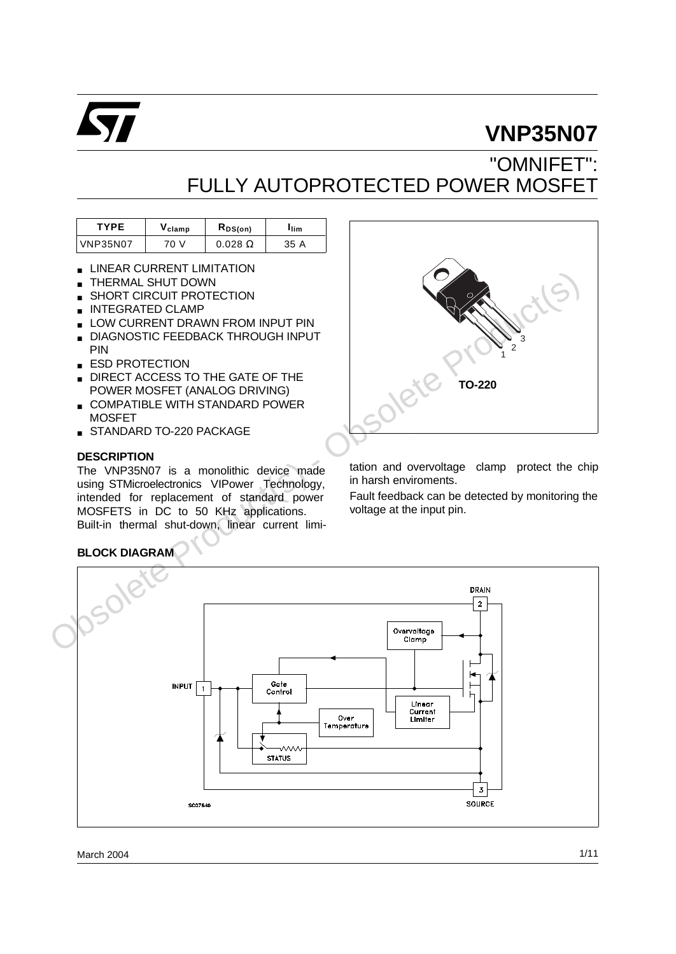

# **VNP35N07**

# "OMNIFET": FULLY AUTOPROTECTED POWER MOSFET

| <b>TYPE</b>     | $\mathsf{V}_{\mathsf{clamp}}$ | $R_{DS(on)}$   | <b>I</b> lim |
|-----------------|-------------------------------|----------------|--------------|
| <b>VNP35N07</b> | 70 V                          | $0.028 \Omega$ | 35 A         |

- **LINEAR CURRENT LIMITATION**
- THERMAL SHUT DOWN
- SHORT CIRCUIT PROTECTION
- INTEGRATED CLAMP
- LOW CURRENT DRAWN FROM INPUT PIN
- **B** DIAGNOSTIC FEEDBACK THROUGH INPUT PIN
- **E ESD PROTECTION**
- DIRECT ACCESS TO THE GATE OF THE POWER MOSFET (ANALOG DRIVING)
- COMPATIBLE WITH STANDARD POWER **MOSFFT**
- STANDARD TO-220 PACKAGE

### **DESCRIPTION**

The VNP35N07 is a monolithic device made using STMicroelectronics VIPower Technology, intended for replacement of standard power MOSFETS in DC to 50 KHz applications. Built-in thermal shut-down, linear current limi-



tation and overvoltage clamp protect the chip in harsh enviroments.

Fault feedback can be detected by monitoring the voltage at the input pin.

## **BLOCK DIAGRAM**

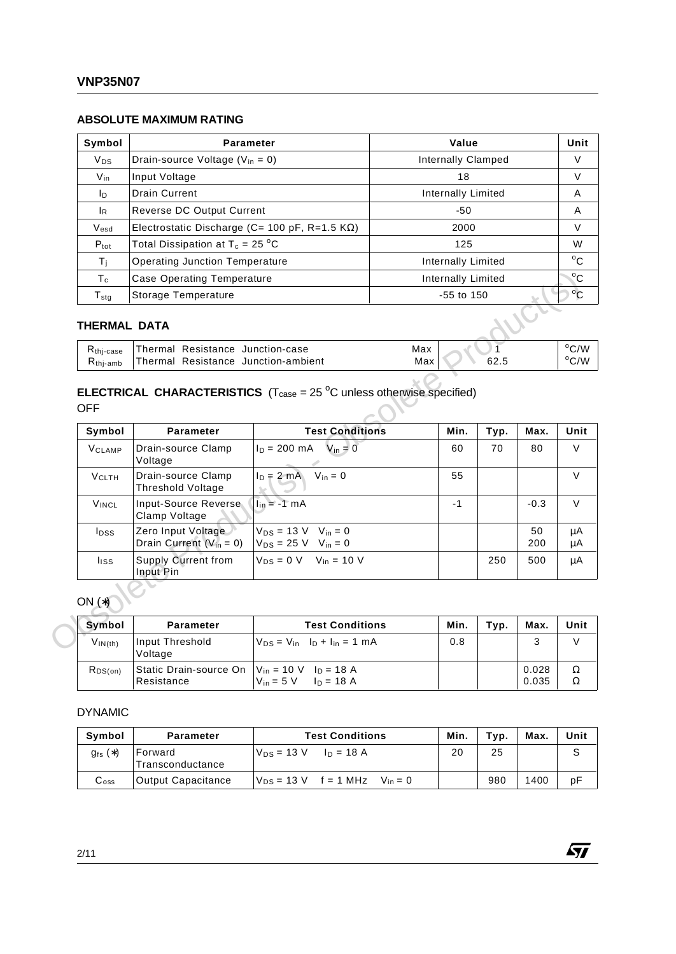### **ABSOLUTE MAXIMUM RATING**

| Symbol                      | <b>Parameter</b>                                      | Value                     | Unit         |
|-----------------------------|-------------------------------------------------------|---------------------------|--------------|
| <b>V<sub>DS</sub></b>       | Drain-source Voltage ( $V_{in} = 0$ )                 | Internally Clamped        | V            |
| $V_{\text{in}}$             | Input Voltage                                         | 18                        | V            |
| In.                         | <b>Drain Current</b>                                  | Internally Limited        | A            |
| <sup>IR</sup>               | Reverse DC Output Current                             | -50                       | A            |
| $V_{esd}$                   | Electrostatic Discharge (C= 100 pF, R=1.5 $K\Omega$ ) | 2000                      | V            |
| $P_{\text{tot}}$            | Total Dissipation at $T_c = 25 °C$                    | 125                       | W            |
| Τí                          | <b>Operating Junction Temperature</b>                 | Internally Limited        | $^{\circ}$ C |
| $T_c$                       | Case Operating Temperature                            | <b>Internally Limited</b> | $^{\circ}$ C |
| $\mathsf{T}_{\mathsf{stg}}$ | Storage Temperature                                   | $-55$ to $150$            | $^{\circ}$ C |

## **THERMAL DATA**

| $Rthi-case$          | Thermal Resistance Junction-case    | Max |      | $^{\circ}$ C/W |
|----------------------|-------------------------------------|-----|------|----------------|
| $R_{\text{thi-amb}}$ | Thermal Resistance Junction-ambient | Max | 62.5 | $^{\circ}$ C/W |

# **ELECTRICAL CHARACTERISTICS**  $(T_{\text{case}} = 25 \text{ °C}$  unless otherwise specified)

| $T_c$                                         | <b>Case Operating Temperature</b>                                                                 |                                                                                |            | <b>Internally Limited</b> |      |                |  |
|-----------------------------------------------|---------------------------------------------------------------------------------------------------|--------------------------------------------------------------------------------|------------|---------------------------|------|----------------|--|
| $T_{\text{stg}}$                              | Storage Temperature                                                                               |                                                                                |            | $-55$ to $150$            |      |                |  |
| THERMAL DATA                                  |                                                                                                   |                                                                                |            |                           |      |                |  |
| R <sub>thj-case</sub><br>$R_{\text{thi-amb}}$ | Thermal Resistance Junction-case<br>Thermal Resistance Junction-ambient                           |                                                                                | Max<br>Max |                           | 62.5 |                |  |
| <b>OFF</b>                                    | <b>ELECTRICAL CHARACTERISTICS</b> ( $T_{\text{case}} = 25 \text{ °C}$ unless otherwise specified) |                                                                                |            |                           |      |                |  |
| Symbol                                        | <b>Parameter</b>                                                                                  | <b>Test Conditions</b>                                                         |            | Min.                      | Typ. | Max.           |  |
| <b>VCLAMP</b>                                 | Drain-source Clamp<br>Voltage                                                                     | $I_D = 200 \text{ mA}$ $V_{in} = 0$                                            |            | 60                        | 70   | 80             |  |
| <b>VCLTH</b>                                  | Drain-source Clamp<br><b>Threshold Voltage</b>                                                    | $I_D = 2 mA$ $V_{in} = 0$                                                      |            | 55                        |      |                |  |
| <b>VINCL</b>                                  | Input-Source Reverse<br>Clamp Voltage                                                             | $\ln = -1$ mA                                                                  |            | $-1$                      |      | $-0.3$         |  |
| $I_{\text{DSS}}$                              | Zero Input Voltage<br>Drain Current $(V_{in} = 0)$                                                | $V_{DS} = 13 \text{ V}$ $V_{in} = 0$<br>$V_{DS} = 25 V$ V <sub>in</sub> = 0    |            |                           |      | 50<br>200      |  |
| <b>liss</b>                                   | <b>Supply Current from</b><br>Input Pin                                                           | $V_{DS} = 0$ V $V_{in} = 10$ V                                                 |            |                           | 250  | 500            |  |
| $ON(*)$                                       |                                                                                                   |                                                                                |            |                           |      |                |  |
| Symbol                                        | <b>Parameter</b>                                                                                  | <b>Test Conditions</b>                                                         |            | Min.                      | Typ. | Max.           |  |
| $V_{IN(th)}$                                  | Input Threshold<br>Voltage                                                                        | $V_{DS} = V_{in}$ $I_D + I_{in} = 1$ mA                                        |            | 0.8                       |      | 3              |  |
| $R_{DS(on)}$                                  | Static Drain-source On<br>Resistance                                                              | $V_{in} = 10 \text{ V}$ $I_D = 18 \text{ A}$<br>$V_{in} = 5 V$<br>$I_D = 18 A$ |            |                           |      | 0.028<br>0.035 |  |

| <b>Symbol</b> | <b>Parameter</b>                                                  | <b>Test Conditions</b>                   | Min. | Typ. | Max.           | Unit   |
|---------------|-------------------------------------------------------------------|------------------------------------------|------|------|----------------|--------|
| $V_{IN(th)}$  | Input Threshold<br>Voltage                                        | $ V_{DS} = V_{in}$ $I_D + I_{in} = 1$ mA | 0.8  |      | 3              |        |
| $R_{DS(on)}$  | Static Drain-source On $V_{in}$ = 10 V $I_D$ = 18 A<br>Resistance | $V_{in} = 5 V$ $I_{D} = 18 A$            |      |      | 0.028<br>0.035 | Ω<br>Ω |

#### DYNAMIC

| Symbol                    | <b>Parameter</b>            | <b>Test Conditions</b>                       | Min. | Tvp. | Max. | Unit |
|---------------------------|-----------------------------|----------------------------------------------|------|------|------|------|
| $g_{fs}(*)$               | Forward<br>Transconductance | $V_{DS} = 13 \text{ V}$ $I_D = 18 \text{ A}$ | 20   | 25   |      |      |
| $\mathsf{C}_{\text{oss}}$ | <b>Output Capacitance</b>   | $V_{DS}$ = 13 V f = 1 MHz<br>$V_{in}=0$      |      | 980  | 1400 | рF   |

勾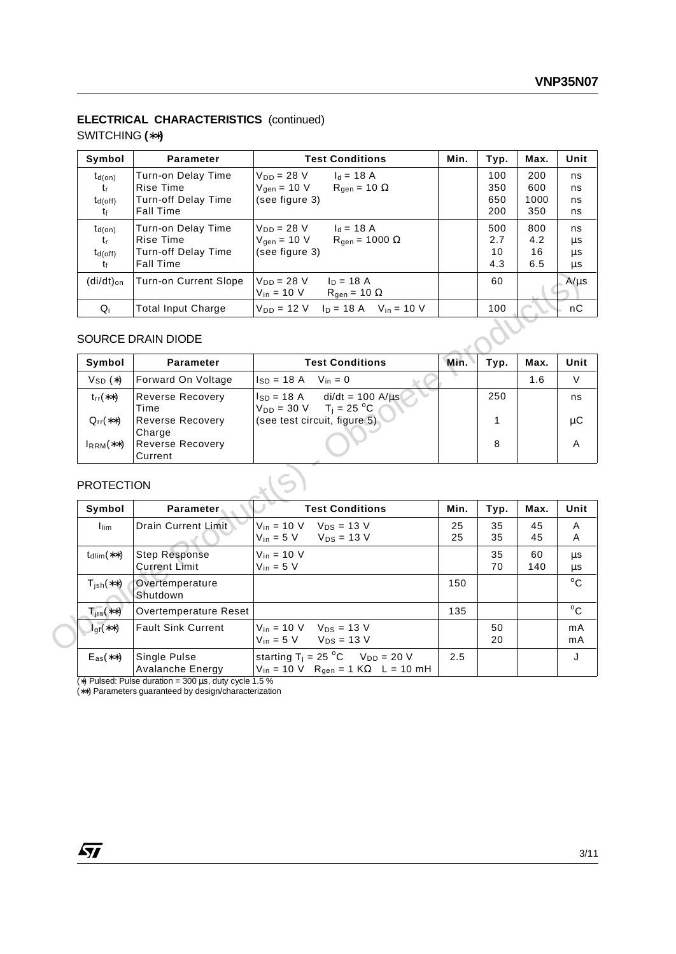## **ELECTRICAL CHARACTERISTICS** (continued)

## SWITCHING **(**∗∗**)**

| Symbol                                         | <b>Parameter</b>             | <b>Test Conditions</b>                                               | Min. | Typ. | Max.        | Unit                 |
|------------------------------------------------|------------------------------|----------------------------------------------------------------------|------|------|-------------|----------------------|
| $t_{\sf d(on)}$                                | Turn-on Delay Time           | $I_d = 18 A$<br>$V_{DD} = 28 V$                                      |      | 100  | 200         | ns                   |
| tr                                             | Rise Time                    | $R_{gen} = 10 \Omega$<br>$V_{\text{gen}} = 10 V$                     |      | 350  | 600         | ns                   |
| $t_{d(off)}$                                   | Turn-off Delay Time          | (see figure 3)                                                       |      | 650  | 1000        | ns                   |
| tŧ                                             | <b>Fall Time</b>             |                                                                      |      | 200  | 350         | ns                   |
| $t_{d(on)}$                                    | Turn-on Delay Time           | $V_{DD} = 28 V$<br>$I_d = 18 A$                                      |      | 500  | 800         | ns                   |
| tr                                             | Rise Time                    | $V_{\text{gen}} = 10 V$<br>$R_{\text{gen}} = 1000 \Omega$            |      | 2.7  | 4.2         | μs                   |
| $t_{d(off)}$                                   | Turn-off Delay Time          | (see figure 3)                                                       |      | 10   | 16          | μs                   |
| tŧ                                             | <b>Fall Time</b>             |                                                                      |      | 4.3  | 6.5         | μs                   |
| $(di/dt)_{on}$                                 | <b>Turn-on Current Slope</b> | $V_{DD} = 28 V$<br>$I_D = 18 A$                                      |      | 60   |             | A/us                 |
|                                                |                              | $V_{in} = 10 V$<br>$R_{\text{gen}} = 10 \Omega$                      |      |      |             |                      |
| $Q_i$                                          | <b>Total Input Charge</b>    | $V_{DD} = 12 \text{ V}$ $I_D = 18 \text{ A}$ $V_{in} = 10 \text{ V}$ |      | 100  |             | nС                   |
|                                                | <b>SOURCE DRAIN DIODE</b>    |                                                                      |      |      |             |                      |
| $\mathbf{a}$ and $\mathbf{b}$ and $\mathbf{b}$ | <b>B</b> - - - - - - - 4     | すっこく ハール せいしょう                                                       |      |      | <b>BR</b> - | <b>A. R. L. Marc</b> |

## SOURCE DRAIN DIODE

| Symbol           | <b>Parameter</b>                   | <b>Test Conditions</b>                                                  | Min. | Typ. | Max. | Unit |
|------------------|------------------------------------|-------------------------------------------------------------------------|------|------|------|------|
| $V_{SD}$ $(*)$   | Forward On Voltage                 | $I_{SD} = 18 \text{ A}$ $V_{in} = 0$                                    |      |      | 1.6  | v    |
| $t_{rr}$ (**)    | <b>Reverse Recovery</b><br>Time    | $ SD = 18 A$ di/dt = 100 A/ $\mu s$<br>$T_i = 25 °C$<br>$V_{DD} = 30 V$ |      | 250  |      | ns   |
| $Q_{rr}$ (**)    | <b>Reverse Recovery</b><br>Charge  | (see test circuit, figure 5)                                            |      |      |      | μC   |
| $I_{RRM}$ $(**)$ | <b>Reverse Recovery</b><br>Current |                                                                         |      | 8    |      | A    |

## PROTECTION

| $(di/dt)_{on}$                          | <b>Turn-on Current Slope</b>                 | $V_{DD} = 28 V$<br>$I_D = 18 A$<br>$V_{in}$ = 10 V<br>$R_{gen} = 10 \Omega$              |          | 60       |           | $A/\mu s$ |
|-----------------------------------------|----------------------------------------------|------------------------------------------------------------------------------------------|----------|----------|-----------|-----------|
| $Q_i$                                   | <b>Total Input Charge</b>                    | $V_{DD} = 12$ V $I_D = 18$ A $V_{in} = 10$ V                                             |          | 100      |           |           |
|                                         | <b>SOURCE DRAIN DIODE</b>                    |                                                                                          |          |          |           |           |
| Symbol                                  | <b>Parameter</b>                             | <b>Test Conditions</b>                                                                   | Min.     | Typ.     | Max.      | Unit      |
| $V_{SD}(*)$                             | Forward On Voltage                           | $I_{SD} = 18 \text{ A}$ $V_{in} = 0$                                                     |          |          | 1.6       |           |
| $trf^*(*)$                              | <b>Reverse Recovery</b><br>Time              | $di/dt = 100$ A/ $\mu s$<br>Isp = 18 A<br>$V_{DD} = 30 \text{ V}$ T <sub>j</sub> = 25 °C |          | 250      |           |           |
| $Q_{rr}$ (**)                           | <b>Reverse Recovery</b><br>Charge            | (see test circuit, figure 5).                                                            |          | 1        |           |           |
|                                         | <b>Reverse Recovery</b>                      |                                                                                          |          | 8        |           |           |
| $I_{RRM}$ $(**)$                        | Current                                      |                                                                                          |          |          |           |           |
| <b>PROTECTION</b>                       |                                              |                                                                                          |          |          |           |           |
| Symbol                                  | <b>Parameter</b>                             | <b>Test Conditions</b>                                                                   | Min.     | Typ.     | Max.      |           |
| lim                                     | <b>Drain Current Limit</b>                   | $V_{in} = 10 V$<br>$V_{DS} = 13 V$<br>$V_{in} = 5 V$<br>$V_{DS}$ = 13 V                  | 25<br>25 | 35<br>35 | 45<br>45  | Unit      |
| $t_{\text{dlim}}$ (**)                  | <b>Step Response</b><br><b>Current Limit</b> | $V_{in}$ = 10 V<br>$V_{in} = 5 V$                                                        |          | 35<br>70 | 60<br>140 |           |
| $T_{\sf ish}$ $(**)$                    | Overtemperature<br>Shutdown                  |                                                                                          | 150      |          |           |           |
| $T_{irs}$ (**)                          | Overtemperature Reset                        |                                                                                          | 135      |          |           |           |
| $\overline{\mathsf{I}_{\text{gf}}(**)}$ | <b>Fault Sink Current</b>                    | $V_{in}$ = 10 V $V_{DS}$ = 13 V<br>$V_{in} = 5 V$<br>$V_{DS} = 13 V$                     |          | 50<br>20 |           |           |

(∗) Pulsed: Pulse duration = 300 µs, duty cycle 1.5 %

(∗∗) Parameters guaranteed by design/characterization

57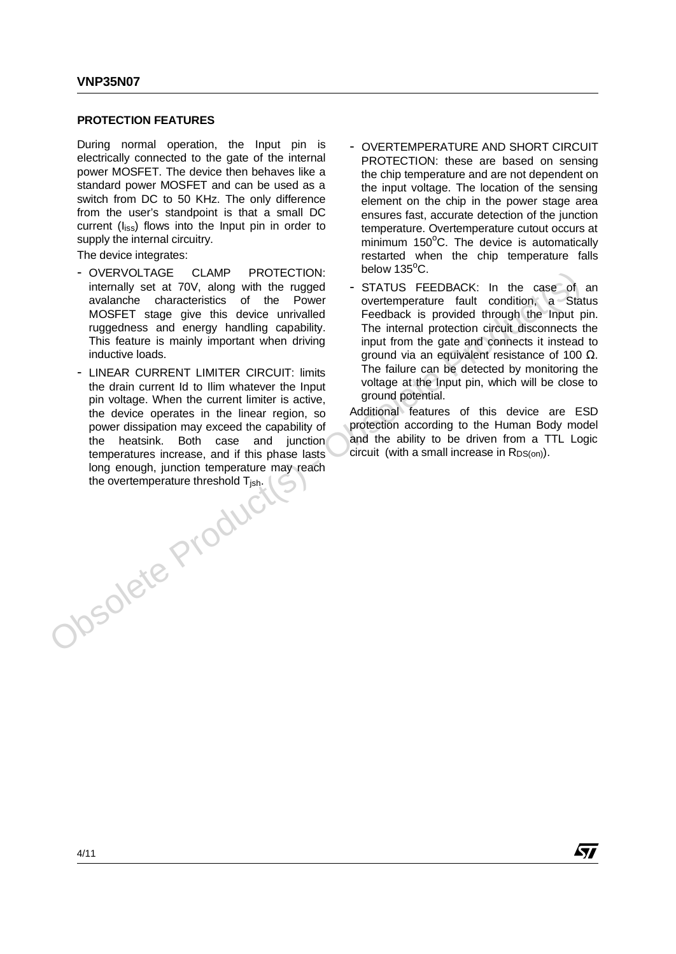#### **PROTECTION FEATURES**

During normal operation, the Input pin is electrically connected to the gate of the internal power MOSFET. The device then behaves like a standard power MOSFET and can be used as a switch from DC to 50 KHz. The only difference from the user's standpoint is that a small DC current  $(I<sub>iss</sub>)$  flows into the Input pin in order to supply the internal circuitry.

The device integrates:

- OVERVOLTAGE CLAMP PROTECTION: internally set at 70V, along with the rugged avalanche characteristics of the Power MOSFET stage give this device unrivalled ruggedness and energy handling capability. This feature is mainly important when driving inductive loads.
- LINEAR CURRENT LIMITER CIRCUIT: limits the drain current Id to Ilim whatever the Input pin voltage. When the current limiter is active, the device operates in the linear region, so power dissipation may exceed the capability of the heatsink. Both case and junction temperatures increase, and if this phase lasts long enough, junction temperature may reach<br>the overtemperature threshold  $T_{jsh}$ . the overtemperature threshold T<sub>jsh</sub>. OVERVOLTAGE CLAMP PROTECTION: we wav issues and energy and the case of aviation is State Power were protectional to condition a State of the Power and the Collinder and the Collinder This feature is an energy handline capa
- OVERTEMPERATURE AND SHORT CIRCUIT PROTECTION: these are based on sensing the chip temperature and are not dependent on the input voltage. The location of the sensing element on the chip in the power stage area ensures fast, accurate detection of the junction temperature. Overtemperature cutout occurs at minimum 150°C. The device is automatically restarted when the chip temperature falls below 135<sup>o</sup>C.
	- STATUS FEEDBACK: In the case of an overtemperature fault condition, a Status Feedback is provided through the Input pin. The internal protection circuit disconnects the input from the gate and connects it instead to ground via an equivalent resistance of 100 Ω. The failure can be detected by monitoring the voltage at the Input pin, which will be close to ground potential.

Additional features of this device are ESD protection according to the Human Body model and the ability to be driven from a TTL Logic circuit (with a small increase in  $R_{DS(on)}$ ).

57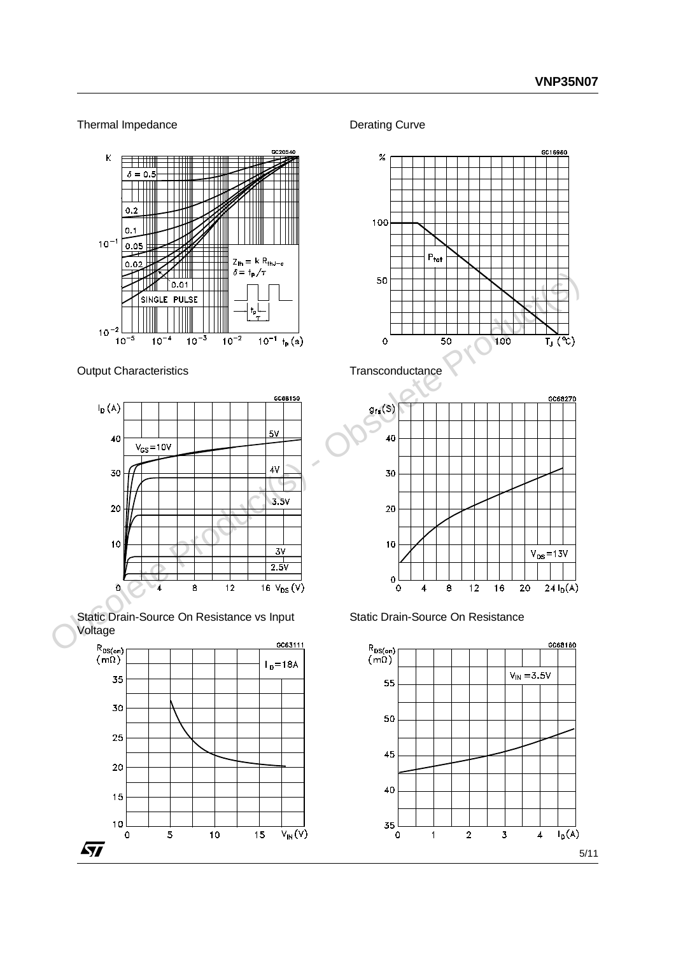### Thermal Impedance



Output Characteristics



Static Drain-Source On Resistance vs Input Voltage



Derating Curve





Static Drain-Source On Resistance

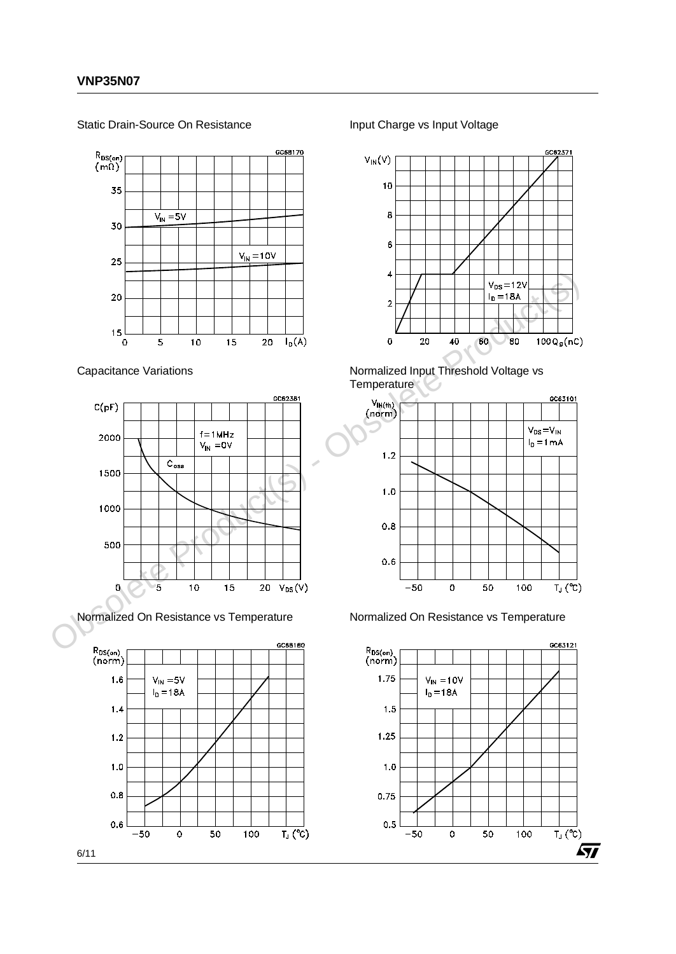Static Drain-Source On Resistance



Capacitance Variations



Normalized On Resistance vs Temperature



Input Charge vs Input Voltage



Normalized Input Threshold Voltage vs **Temperature** 



Normalized On Resistance vs Temperature

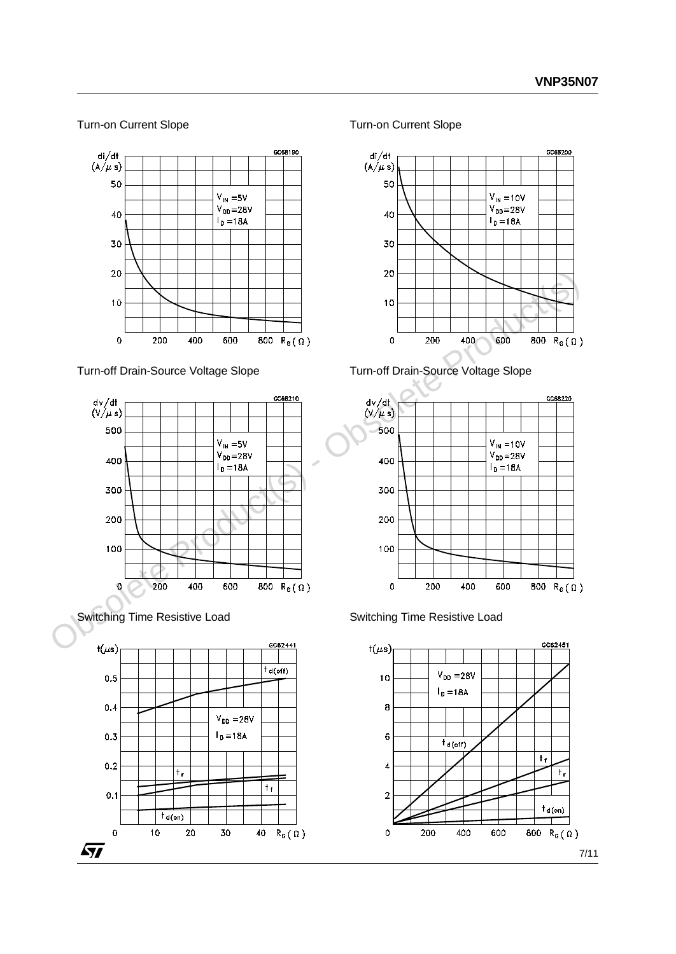#### Turn-on Current Slope



Switching Time Resistive Load



Turn-on Current Slope









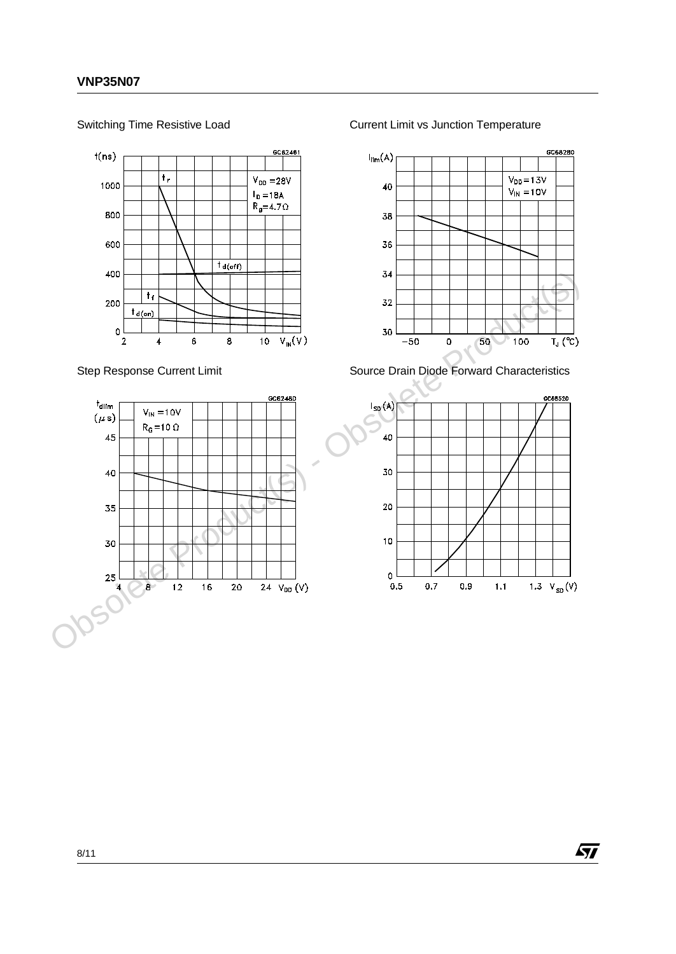Switching Time Resistive Load



Step Response Current Limit



Current Limit vs Junction Temperature



Source Drain Diode Forward Characteristics



ィ

8/11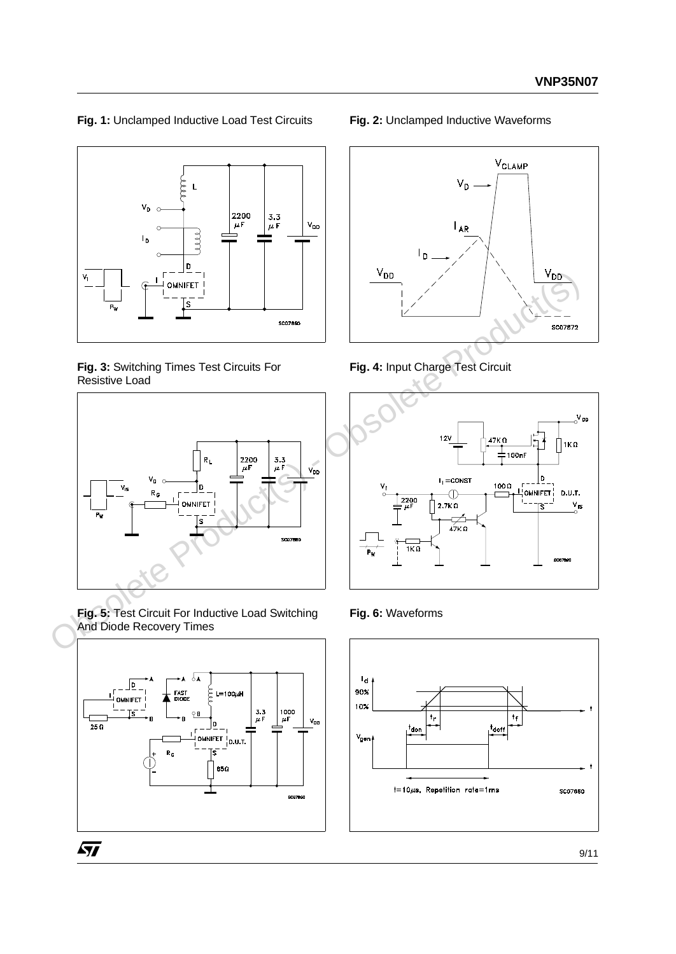## **Fig. 1:** Unclamped Inductive Load Test Circuits



**Fig. 3:** Switching Times Test Circuits For Resistive Load



**Fig. 5:** Test Circuit For Inductive Load Switching And Diode Recovery Times



#### **Fig. 2:** Unclamped Inductive Waveforms







**Fig. 6:** Waveforms

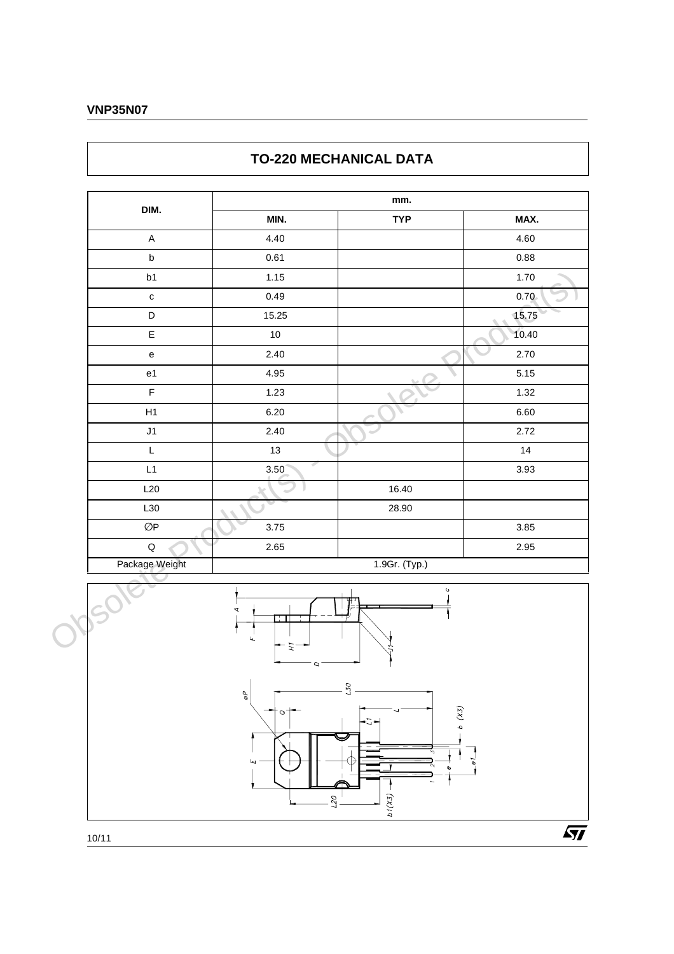### **VNP35N07**

## **TO-220 MECHANICAL DATA**





 $\sqrt{M}$